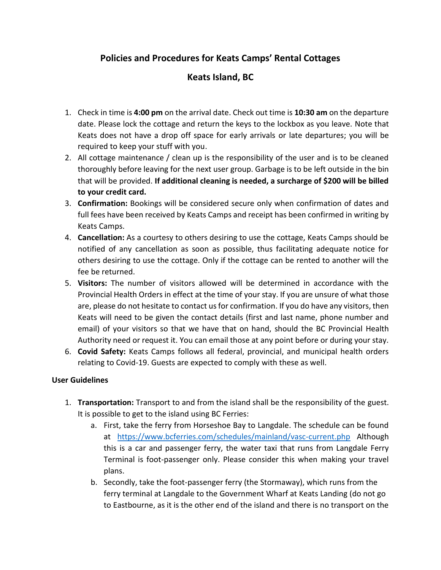# **Policies and Procedures for Keats Camps' Rental Cottages**

## **Keats Island, BC**

- 1. Check in time is **4:00 pm** on the arrival date. Check out time is **10:30 am** on the departure date. Please lock the cottage and return the keys to the lockbox as you leave. Note that Keats does not have a drop off space for early arrivals or late departures; you will be required to keep your stuff with you.
- 2. All cottage maintenance / clean up is the responsibility of the user and is to be cleaned thoroughly before leaving for the next user group. Garbage is to be left outside in the bin that will be provided. **If additional cleaning is needed, a surcharge of \$200 will be billed to your credit card.**
- 3. **Confirmation:** Bookings will be considered secure only when confirmation of dates and full fees have been received by Keats Camps and receipt has been confirmed in writing by Keats Camps.
- 4. **Cancellation:** As a courtesy to others desiring to use the cottage, Keats Camps should be notified of any cancellation as soon as possible, thus facilitating adequate notice for others desiring to use the cottage. Only if the cottage can be rented to another will the fee be returned.
- 5. **Visitors:** The number of visitors allowed will be determined in accordance with the Provincial Health Orders in effect at the time of your stay. If you are unsure of what those are, please do not hesitate to contact us for confirmation. If you do have any visitors, then Keats will need to be given the contact details (first and last name, phone number and email) of your visitors so that we have that on hand, should the BC Provincial Health Authority need or request it. You can email those at any point before or during your stay.
- 6. **Covid Safety:** Keats Camps follows all federal, provincial, and municipal health orders relating to Covid-19. Guests are expected to comply with these as well.

### **User Guidelines**

- 1. **Transportation:** Transport to and from the island shall be the responsibility of the guest. It is possible to get to the island using BC Ferries:
	- a. First, take the ferry from Horseshoe Bay to Langdale. The schedule can be found at <https://www.bcferries.com/schedules/mainland/vasc-current.php> Although this is a car and passenger ferry, the water taxi that runs from Langdale Ferry Terminal is foot-passenger only. Please consider this when making your travel plans.
	- b. Secondly, take the foot-passenger ferry (the Stormaway), which runs from the ferry terminal at Langdale to the Government Wharf at Keats Landing (do not go to Eastbourne, as it is the other end of the island and there is no transport on the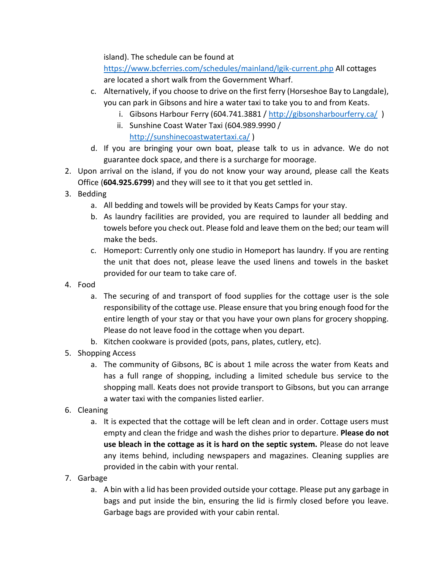island). The schedule can be found at

<https://www.bcferries.com/schedules/mainland/lgik-current.php> All cottages are located a short walk from the Government Wharf.

- c. Alternatively, if you choose to drive on the first ferry (Horseshoe Bay to Langdale), you can park in Gibsons and hire a water taxi to take you to and from Keats.
	- i. Gibsons Harbour Ferry (604.741.3881 / http://gibsonsharbourferry.ca/)
	- ii. Sunshine Coast Water Taxi (604.989.9990 / <http://sunshinecoastwatertaxi.ca/> )
- d. If you are bringing your own boat, please talk to us in advance. We do not guarantee dock space, and there is a surcharge for moorage.
- 2. Upon arrival on the island, if you do not know your way around, please call the Keats Office (**604.925.6799**) and they will see to it that you get settled in.
- 3. Bedding
	- a. All bedding and towels will be provided by Keats Camps for your stay.
	- b. As laundry facilities are provided, you are required to launder all bedding and towels before you check out. Please fold and leave them on the bed; our team will make the beds.
	- c. Homeport: Currently only one studio in Homeport has laundry. If you are renting the unit that does not, please leave the used linens and towels in the basket provided for our team to take care of.
- 4. Food
	- a. The securing of and transport of food supplies for the cottage user is the sole responsibility of the cottage use. Please ensure that you bring enough food for the entire length of your stay or that you have your own plans for grocery shopping. Please do not leave food in the cottage when you depart.
	- b. Kitchen cookware is provided (pots, pans, plates, cutlery, etc).
- 5. Shopping Access
	- a. The community of Gibsons, BC is about 1 mile across the water from Keats and has a full range of shopping, including a limited schedule bus service to the shopping mall. Keats does not provide transport to Gibsons, but you can arrange a water taxi with the companies listed earlier.
- 6. Cleaning
	- a. It is expected that the cottage will be left clean and in order. Cottage users must empty and clean the fridge and wash the dishes prior to departure. **Please do not use bleach in the cottage as it is hard on the septic system.** Please do not leave any items behind, including newspapers and magazines. Cleaning supplies are provided in the cabin with your rental.
- 7. Garbage
	- a. A bin with a lid has been provided outside your cottage. Please put any garbage in bags and put inside the bin, ensuring the lid is firmly closed before you leave. Garbage bags are provided with your cabin rental.